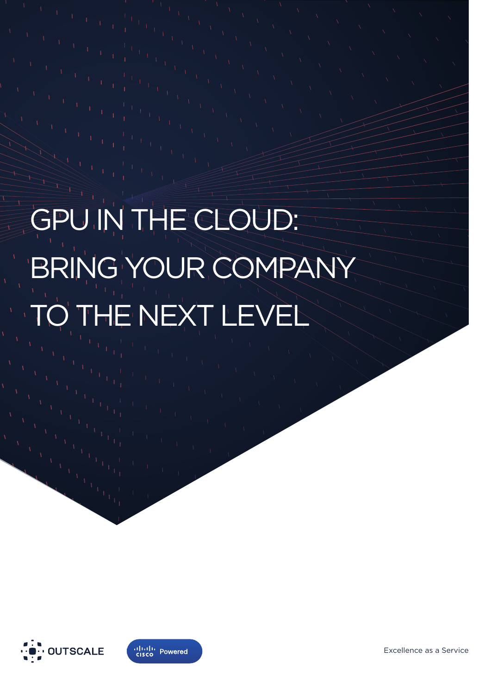# GPU IN THE CLOUD: BRING YOUR COMPANY TO THE NEXT LEVEL





Excellence as a Service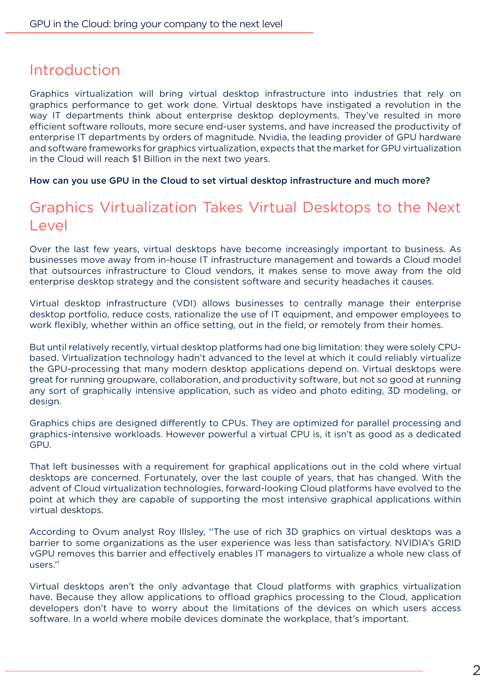#### Introduction

Graphics virtualization will bring virtual desktop infrastructure into industries that rely on graphics performance to get work done. Virtual desktops have instigated a revolution in the way IT departments think about enterprise desktop deployments. They've resulted in more efficient software rollouts, more secure end-user systems, and have increased the productivity of enterprise IT departments by orders of magnitude. Nvidia, the leading provider of GPU hardware and software frameworks for graphics virtualization, expects that the market for GPU virtualization in the Cloud will reach \$1 Billion in the next two years.

How can you use GPU in the Cloud to set virtual desktop infrastructure and much more?

#### Graphics Virtualization Takes Virtual Desktops to the Next Level

Over the last few years, virtual desktops have become increasingly important to business. As businesses move away from in-house IT infrastructure management and towards a Cloud model that outsources infrastructure to Cloud vendors, it makes sense to move away from the old enterprise desktop strategy and the consistent software and security headaches it causes.

Virtual desktop infrastructure (VDI) allows businesses to centrally manage their enterprise desktop portfolio, reduce costs, rationalize the use of IT equipment, and empower employees to work flexibly, whether within an office setting, out in the field, or remotely from their homes.

But until relatively recently, virtual desktop platforms had one big limitation: they were solely CPUbased. Virtualization technology hadn't advanced to the level at which it could reliably virtualize the GPU-processing that many modern desktop applications depend on. Virtual desktops were great for running groupware, collaboration, and productivity software, but not so good at running any sort of graphically intensive application, such as video and photo editing, 3D modeling, or design.

Graphics chips are designed differently to CPUs. They are optimized for parallel processing and graphics-intensive workloads. However powerful a virtual CPU is, it isn't as good as a dedicated GPU.

That left businesses with a requirement for graphical applications out in the cold where virtual desktops are concerned. Fortunately, over the last couple of years, that has changed. With the advent of Cloud virtualization technologies, forward-looking Cloud platforms have evolved to the point at which they are capable of supporting the most intensive graphical applications within virtual desktops.

According to Ovum analyst Roy Illsley, ''The use of rich 3D graphics on virtual desktops was a barrier to some organizations as the user experience was less than satisfactory. NVIDIA's GRID vGPU removes this barrier and effectively enables IT managers to virtualize a whole new class of users.''

Virtual desktops aren't the only advantage that Cloud platforms with graphics virtualization have. Because they allow applications to offload graphics processing to the Cloud, application developers don't have to worry about the limitations of the devices on which users access software. In a world where mobile devices dominate the workplace, that's important.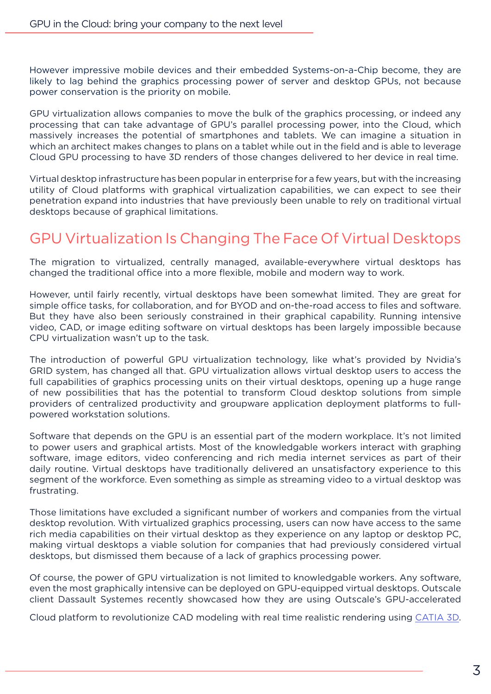However impressive mobile devices and their embedded Systems-on-a-Chip become, they are likely to lag behind the graphics processing power of server and desktop GPUs, not because power conservation is the priority on mobile.

GPU virtualization allows companies to move the bulk of the graphics processing, or indeed any processing that can take advantage of GPU's parallel processing power, into the Cloud, which massively increases the potential of smartphones and tablets. We can imagine a situation in which an architect makes changes to plans on a tablet while out in the field and is able to leverage Cloud GPU processing to have 3D renders of those changes delivered to her device in real time.

Virtual desktop infrastructure has been popular in enterprise for a few years, but with the increasing utility of Cloud platforms with graphical virtualization capabilities, we can expect to see their penetration expand into industries that have previously been unable to rely on traditional virtual desktops because of graphical limitations.

### GPU Virtualization Is Changing The Face Of Virtual Desktops

The migration to virtualized, centrally managed, available-everywhere virtual desktops has changed the traditional office into a more flexible, mobile and modern way to work.

However, until fairly recently, virtual desktops have been somewhat limited. They are great for simple office tasks, for collaboration, and for BYOD and on-the-road access to files and software. But they have also been seriously constrained in their graphical capability. Running intensive video, CAD, or image editing software on virtual desktops has been largely impossible because CPU virtualization wasn't up to the task.

The introduction of powerful GPU virtualization technology, like what's provided by Nvidia's GRID system, has changed all that. GPU virtualization allows virtual desktop users to access the full capabilities of graphics processing units on their virtual desktops, opening up a huge range of new possibilities that has the potential to transform Cloud desktop solutions from simple providers of centralized productivity and groupware application deployment platforms to fullpowered workstation solutions.

Software that depends on the GPU is an essential part of the modern workplace. It's not limited to power users and graphical artists. Most of the knowledgable workers interact with graphing software, image editors, video conferencing and rich media internet services as part of their daily routine. Virtual desktops have traditionally delivered an unsatisfactory experience to this segment of the workforce. Even something as simple as streaming video to a virtual desktop was frustrating.

Those limitations have excluded a significant number of workers and companies from the virtual desktop revolution. With virtualized graphics processing, users can now have access to the same rich media capabilities on their virtual desktop as they experience on any laptop or desktop PC, making virtual desktops a viable solution for companies that had previously considered virtual desktops, but dismissed them because of a lack of graphics processing power.

Of course, the power of GPU virtualization is not limited to knowledgable workers. Any software, even the most graphically intensive can be deployed on GPU-equipped virtual desktops. Outscale client Dassault Systemes recently showcased how they are using Outscale's GPU-accelerated

Cloud platform to revolutionize CAD modeling with real time realistic rendering using CATIA 3D.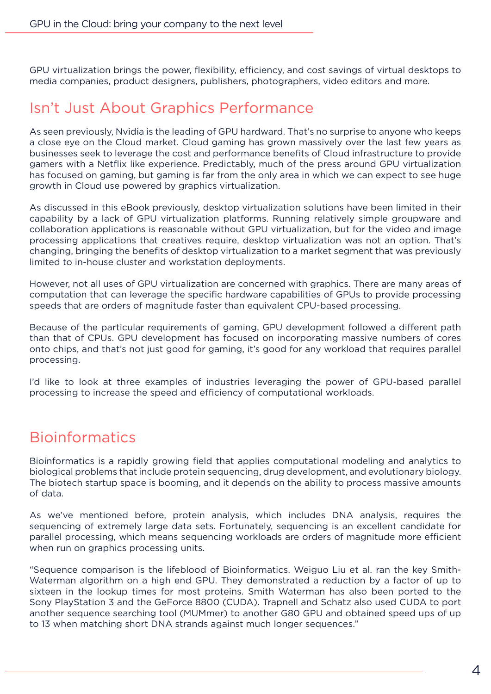GPU virtualization brings the power, flexibility, efficiency, and cost savings of virtual desktops to media companies, product designers, publishers, photographers, video editors and more.

#### Isn't Just About Graphics Performance

As seen previously, Nvidia is the leading of GPU hardward. That's no surprise to anyone who keeps a close eye on the Cloud market. Cloud gaming has grown massively over the last few years as businesses seek to leverage the cost and performance benefits of Cloud infrastructure to provide gamers with a Netflix like experience. Predictably, much of the press around GPU virtualization has focused on gaming, but gaming is far from the only area in which we can expect to see huge growth in Cloud use powered by graphics virtualization.

As discussed in this eBook previously, desktop virtualization solutions have been limited in their capability by a lack of GPU virtualization platforms. Running relatively simple groupware and collaboration applications is reasonable without GPU virtualization, but for the video and image processing applications that creatives require, desktop virtualization was not an option. That's changing, bringing the benefits of desktop virtualization to a market segment that was previously limited to in-house cluster and workstation deployments.

However, not all uses of GPU virtualization are concerned with graphics. There are many areas of computation that can leverage the specific hardware capabilities of GPUs to provide processing speeds that are orders of magnitude faster than equivalent CPU-based processing.

Because of the particular requirements of gaming, GPU development followed a different path than that of CPUs. GPU development has focused on incorporating massive numbers of cores onto chips, and that's not just good for gaming, it's good for any workload that requires parallel processing.

I'd like to look at three examples of industries leveraging the power of GPU-based parallel processing to increase the speed and efficiency of computational workloads.

### Bioinformatics

Bioinformatics is a rapidly growing field that applies computational modeling and analytics to biological problems that include protein sequencing, drug development, and evolutionary biology. The biotech startup space is booming, and it depends on the ability to process massive amounts of data.

As we've mentioned before, protein analysis, which includes DNA analysis, requires the sequencing of extremely large data sets. Fortunately, sequencing is an excellent candidate for parallel processing, which means sequencing workloads are orders of magnitude more efficient when run on graphics processing units.

"Sequence comparison is the lifeblood of Bioinformatics. Weiguo Liu et al. ran the key Smith-Waterman algorithm on a high end GPU. They demonstrated a reduction by a factor of up to sixteen in the lookup times for most proteins. Smith Waterman has also been ported to the Sony PlayStation 3 and the GeForce 8800 (CUDA). Trapnell and Schatz also used CUDA to port another sequence searching tool (MUMmer) to another G80 GPU and obtained speed ups of up to 13 when matching short DNA strands against much longer sequences."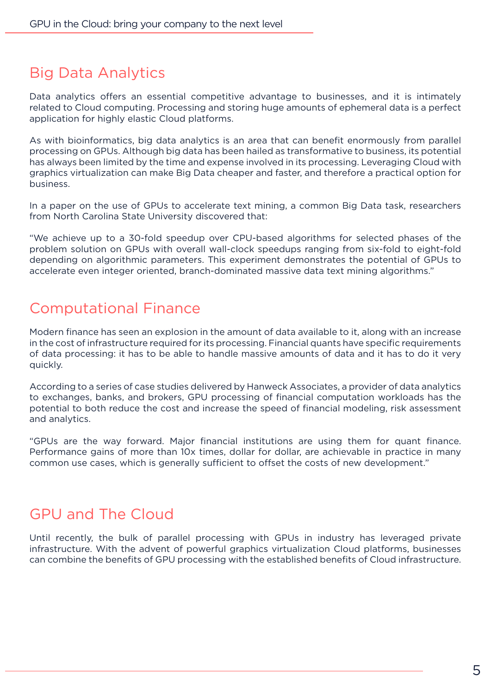# Big Data Analytics

Data analytics offers an essential competitive advantage to businesses, and it is intimately related to Cloud computing. Processing and storing huge amounts of ephemeral data is a perfect application for highly elastic Cloud platforms.

As with bioinformatics, big data analytics is an area that can benefit enormously from parallel processing on GPUs. Although big data has been hailed as transformative to business, its potential has always been limited by the time and expense involved in its processing. Leveraging Cloud with graphics virtualization can make Big Data cheaper and faster, and therefore a practical option for business.

In a paper on the use of GPUs to accelerate text mining, a common Big Data task, researchers from North Carolina State University discovered that:

"We achieve up to a 30-fold speedup over CPU-based algorithms for selected phases of the problem solution on GPUs with overall wall-clock speedups ranging from six-fold to eight-fold depending on algorithmic parameters. This experiment demonstrates the potential of GPUs to accelerate even integer oriented, branch-dominated massive data text mining algorithms."

### Computational Finance

Modern finance has seen an explosion in the amount of data available to it, along with an increase in the cost of infrastructure required for its processing. Financial quants have specific requirements of data processing: it has to be able to handle massive amounts of data and it has to do it very quickly.

According to a series of case studies delivered by Hanweck Associates, a provider of data analytics to exchanges, banks, and brokers, GPU processing of financial computation workloads has the potential to both reduce the cost and increase the speed of financial modeling, risk assessment and analytics.

"GPUs are the way forward. Major financial institutions are using them for quant finance. Performance gains of more than 10x times, dollar for dollar, are achievable in practice in many common use cases, which is generally sufficient to offset the costs of new development."

#### GPU and The Cloud

Until recently, the bulk of parallel processing with GPUs in industry has leveraged private infrastructure. With the advent of powerful graphics virtualization Cloud platforms, businesses can combine the benefits of GPU processing with the established benefits of Cloud infrastructure.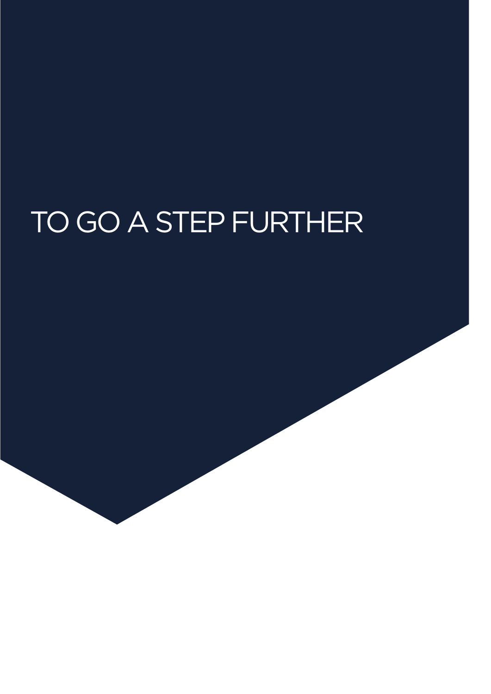# TO GO A STEP FURTHER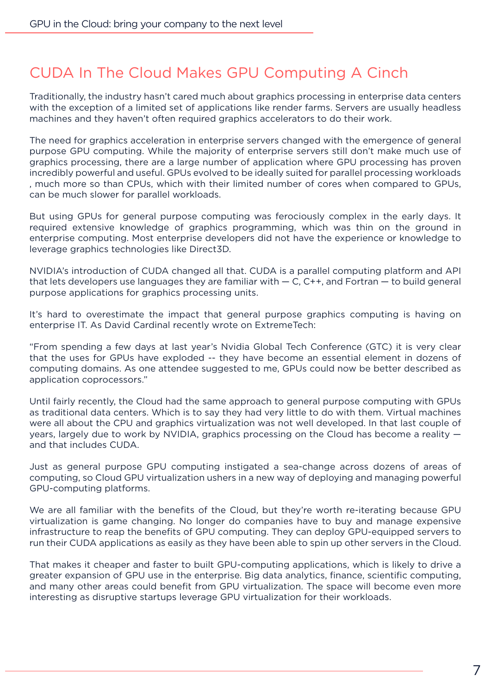# CUDA In The Cloud Makes GPU Computing A Cinch

Traditionally, the industry hasn't cared much about graphics processing in enterprise data centers with the exception of a limited set of applications like render farms. Servers are usually headless machines and they haven't often required graphics accelerators to do their work.

The need for graphics acceleration in enterprise servers changed with the emergence of general purpose GPU computing. While the majority of enterprise servers still don't make much use of graphics processing, there are a large number of application where GPU processing has proven incredibly powerful and useful. GPUs evolved to be ideally suited for parallel processing workloads , much more so than CPUs, which with their limited number of cores when compared to GPUs, can be much slower for parallel workloads.

But using GPUs for general purpose computing was ferociously complex in the early days. It required extensive knowledge of graphics programming, which was thin on the ground in enterprise computing. Most enterprise developers did not have the experience or knowledge to leverage graphics technologies like Direct3D.

NVIDIA's introduction of CUDA changed all that. CUDA is a parallel computing platform and API that lets developers use languages they are familiar with  $-$  C, C++, and Fortran  $-$  to build general purpose applications for graphics processing units.

It's hard to overestimate the impact that general purpose graphics computing is having on enterprise IT. As David Cardinal recently wrote on ExtremeTech:

"From spending a few days at last year's Nvidia Global Tech Conference (GTC) it is very clear that the uses for GPUs have exploded -- they have become an essential element in dozens of computing domains. As one attendee suggested to me, GPUs could now be better described as application coprocessors."

Until fairly recently, the Cloud had the same approach to general purpose computing with GPUs as traditional data centers. Which is to say they had very little to do with them. Virtual machines were all about the CPU and graphics virtualization was not well developed. In that last couple of years, largely due to work by NVIDIA, graphics processing on the Cloud has become a reality and that includes CUDA.

Just as general purpose GPU computing instigated a sea-change across dozens of areas of computing, so Cloud GPU virtualization ushers in a new way of deploying and managing powerful GPU-computing platforms.

We are all familiar with the benefits of the Cloud, but they're worth re-iterating because GPU virtualization is game changing. No longer do companies have to buy and manage expensive infrastructure to reap the benefits of GPU computing. They can deploy GPU-equipped servers to run their CUDA applications as easily as they have been able to spin up other servers in the Cloud.

That makes it cheaper and faster to built GPU-computing applications, which is likely to drive a greater expansion of GPU use in the enterprise. Big data analytics, finance, scientific computing, and many other areas could benefit from GPU virtualization. The space will become even more interesting as disruptive startups leverage GPU virtualization for their workloads.